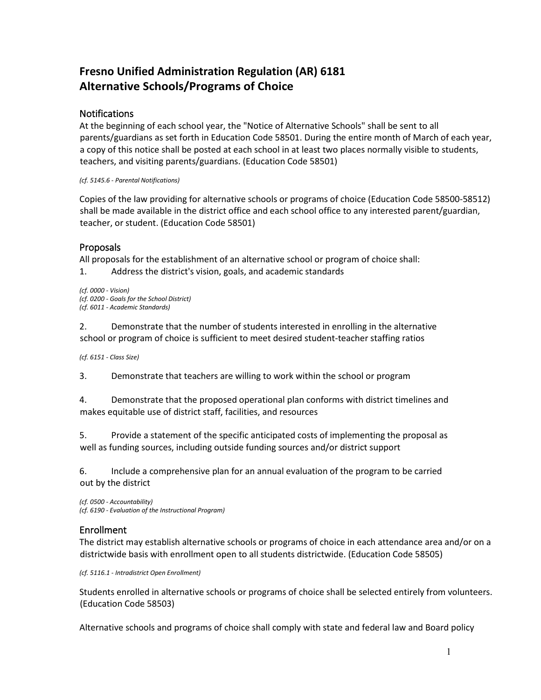# **Fresno Unified Administration Regulation (AR) 6181 Alternative Schools/Programs of Choice**

#### **Notifications**

At the beginning of each school year, the "Notice of Alternative Schools" shall be sent to all parents/guardians as set forth in Education Code 58501. During the entire month of March of each year, a copy of this notice shall be posted at each school in at least two places normally visible to students, teachers, and visiting parents/guardians. (Education Code 58501)

*(cf. 5145.6 - Parental Notifications)* 

Copies of the law providing for alternative schools or programs of choice (Education Code 58500-58512) shall be made available in the district office and each school office to any interested parent/guardian, teacher, or student. (Education Code 58501)

## Proposals

All proposals for the establishment of an alternative school or program of choice shall:

1. Address the district's vision, goals, and academic standards

*(cf. 0000 - Vision) (cf. 0200 - Goals for the School District) (cf. 6011 - Academic Standards)* 

2. Demonstrate that the number of students interested in enrolling in the alternative school or program of choice is sufficient to meet desired student-teacher staffing ratios

*(cf. 6151 - Class Size)* 

3. Demonstrate that teachers are willing to work within the school or program

4. Demonstrate that the proposed operational plan conforms with district timelines and makes equitable use of district staff, facilities, and resources

5. Provide a statement of the specific anticipated costs of implementing the proposal as well as funding sources, including outside funding sources and/or district support

6. Include a comprehensive plan for an annual evaluation of the program to be carried out by the district

*(cf. 0500 - Accountability) (cf. 6190 - Evaluation of the Instructional Program)*

## Enrollment

The district may establish alternative schools or programs of choice in each attendance area and/or on a districtwide basis with enrollment open to all students districtwide. (Education Code 58505)

*(cf. 5116.1 - Intradistrict Open Enrollment)* 

Students enrolled in alternative schools or programs of choice shall be selected entirely from volunteers. (Education Code 58503)

Alternative schools and programs of choice shall comply with state and federal law and Board policy